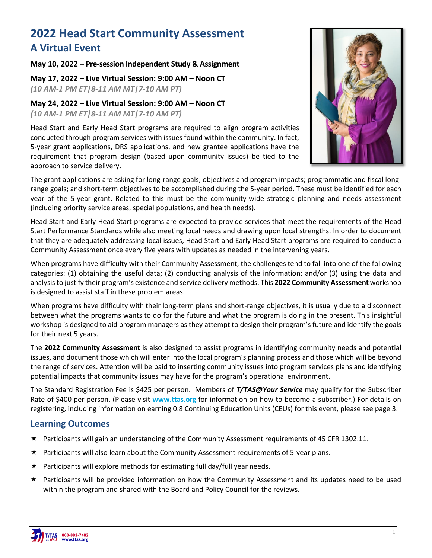# **2022 Head Start Community Assessment A Virtual Event**

#### **May 10, 2022 – Pre-session Independent Study & Assignment**

**May 17, 2022 – Live Virtual Session: 9:00 AM – Noon CT**  *(10 AM-1 PM ET|8-11 AM MT|7-10 AM PT)*

**May 24, 2022 – Live Virtual Session: 9:00 AM – Noon CT** *(10 AM-1 PM ET|8-11 AM MT|7-10 AM PT)*

Head Start and Early Head Start programs are required to align program activities conducted through program services with issues found within the community. In fact, 5-year grant applications, DRS applications, and new grantee applications have the requirement that program design (based upon community issues) be tied to the approach to service delivery.



The grant applications are asking for long-range goals; objectives and program impacts; programmatic and fiscal longrange goals; and short-term objectives to be accomplished during the 5-year period. These must be identified for each year of the 5-year grant. Related to this must be the community-wide strategic planning and needs assessment (including priority service areas, special populations, and health needs).

Head Start and Early Head Start programs are expected to provide services that meet the requirements of the Head Start Performance Standards while also meeting local needs and drawing upon local strengths. In order to document that they are adequately addressing local issues, Head Start and Early Head Start programs are required to conduct a Community Assessment once every five years with updates as needed in the intervening years.

When programs have difficulty with their Community Assessment, the challenges tend to fall into one of the following categories: (1) obtaining the useful data; (2) conducting analysis of the information; and/or (3) using the data and analysis to justify their program's existence and service delivery methods. This **2022 Community Assessment** workshop is designed to assist staff in these problem areas.

When programs have difficulty with their long-term plans and short-range objectives, it is usually due to a disconnect between what the programs wants to do for the future and what the program is doing in the present. This insightful workshop is designed to aid program managers as they attempt to design their program's future and identify the goals for their next 5 years.

The **2022 Community Assessment** is also designed to assist programs in identifying community needs and potential issues, and document those which will enter into the local program's planning process and those which will be beyond the range of services. Attention will be paid to inserting community issues into program services plans and identifying potential impacts that community issues may have for the program's operational environment.

The Standard Registration Fee is \$425 per person. Members of *T/TAS@Your Service* may qualify for the Subscriber Rate of \$400 per person. (Please visit **www.ttas.org** for information on how to become a subscriber.) For details on registering, including information on earning 0.8 Continuing Education Units (CEUs) for this event, please see page 3.

### **Learning Outcomes**

- $\star$  Participants will gain an understanding of the Community Assessment requirements of 45 CFR 1302.11.
- $\star$  Participants will also learn about the Community Assessment requirements of 5-year plans.
- $\star$  Participants will explore methods for estimating full day/full year needs.
- Participants will be provided information on how the Community Assessment and its updates need to be used within the program and shared with the Board and Policy Council for the reviews.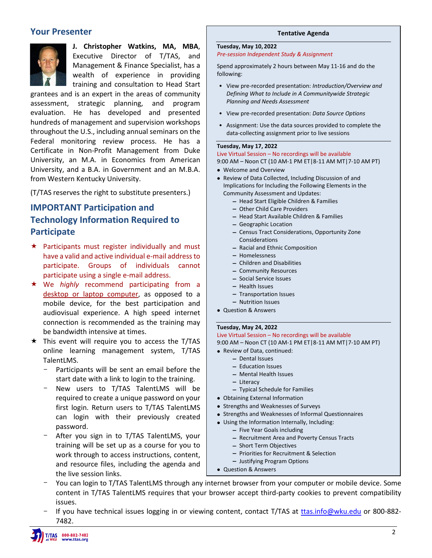## **Your Presenter**



**J. Christopher Watkins, MA, MBA**, Executive Director of T/TAS, and Management & Finance Specialist, has a wealth of experience in providing training and consultation to Head Start

grantees and is an expert in the areas of community assessment, strategic planning, and program evaluation. He has developed and presented hundreds of management and supervision workshops throughout the U.S., including annual seminars on the Federal monitoring review process. He has a Certificate in Non-Profit Management from Duke University, an M.A. in Economics from American University, and a B.A. in Government and an M.B.A. from Western Kentucky University.

(T/TAS reserves the right to substitute presenters.)

## **IMPORTANT Participation and Technology Information Required to Participate**

- $\star$  Participants must register individually and must have a valid and active individual e-mail address to participate. Groups of individuals cannot participate using a single e-mail address.
- We *highly* recommend participating from a desktop or laptop computer, as opposed to a mobile device, for the best participation and audiovisual experience. A high speed internet connection is recommended as the training may be bandwidth intensive at times.
- $\star$  This event will require you to access the T/TAS online learning management system, T/TAS TalentLMS.
	- Participants will be sent an email before the start date with a link to login to the training.
	- New users to T/TAS TalentLMS will be required to create a unique password on your first login. Return users to T/TAS TalentLMS can login with their previously created password.
	- After you sign in to T/TAS TalentLMS, your training will be set up as a course for you to work through to access instructions, content, and resource files, including the agenda and the live session links.

#### **Tentative Agenda**

#### **Tuesday, May 10, 2022**

*Pre-session Independent Study & Assignment*

Spend approximately 2 hours between May 11-16 and do the following:

- View pre-recorded presentation: *Introduction/Overview and Defining What to Include in A Communitywide Strategic Planning and Needs Assessment*
- View pre-recorded presentation: *Data Source Options*
- Assignment: Use the data sources provided to complete the data-collecting assignment prior to live sessions

#### **Tuesday, May 17, 2022**

### Live Virtual Session – No recordings will be available

9:00 AM – Noon CT (10 AM-1 PM ET|8-11 AM MT|7-10 AM PT) • Welcome and Overview

• Review of Data Collected, Including Discussion of and

Implications for Including the Following Elements in the Community Assessment and Updates:

- Head Start Eligible Children & Families
- Other Child Care Providers
- Head Start Available Children & Families
- Geographic Location
- Census Tract Considerations, Opportunity Zone Considerations
- Racial and Ethnic Composition
- Homelessness
- Children and Disabilities
- Community Resources
- Social Service Issues
- Health Issues
- Transportation Issues
- Nutrition Issues
- Question & Answers

#### **Tuesday, May 24, 2022**

Live Virtual Session – No recordings will be available

- 9:00 AM Noon CT (10 AM-1 PM ET|8-11 AM MT|7-10 AM PT)
- Review of Data, continued:
	- Dental Issues
	- Education Issues
	- Mental Health Issues
	- Literacy
	- Typical Schedule for Families
- Obtaining External Information
- Strengths and Weaknesses of Surveys
- Strengths and Weaknesses of Informal Questionnaires
- Using the Information Internally, Including:
	- Five Year Goals including
	- Recruitment Area and Poverty Census Tracts
	- Short Term Objectives
	- Priorities for Recruitment & Selection
	- Justifying Program Options
- Question & Answers
- You can login to T/TAS TalentLMS through any internet browser from your computer or mobile device. Some content in T/TAS TalentLMS requires that your browser accept third-party cookies to prevent compatibility issues.
- If you have technical issues logging in or viewing content, contact T/TAS at [ttas.info@wku.edu](mailto:ttas.info@wku.edu) or 800-882-7482.